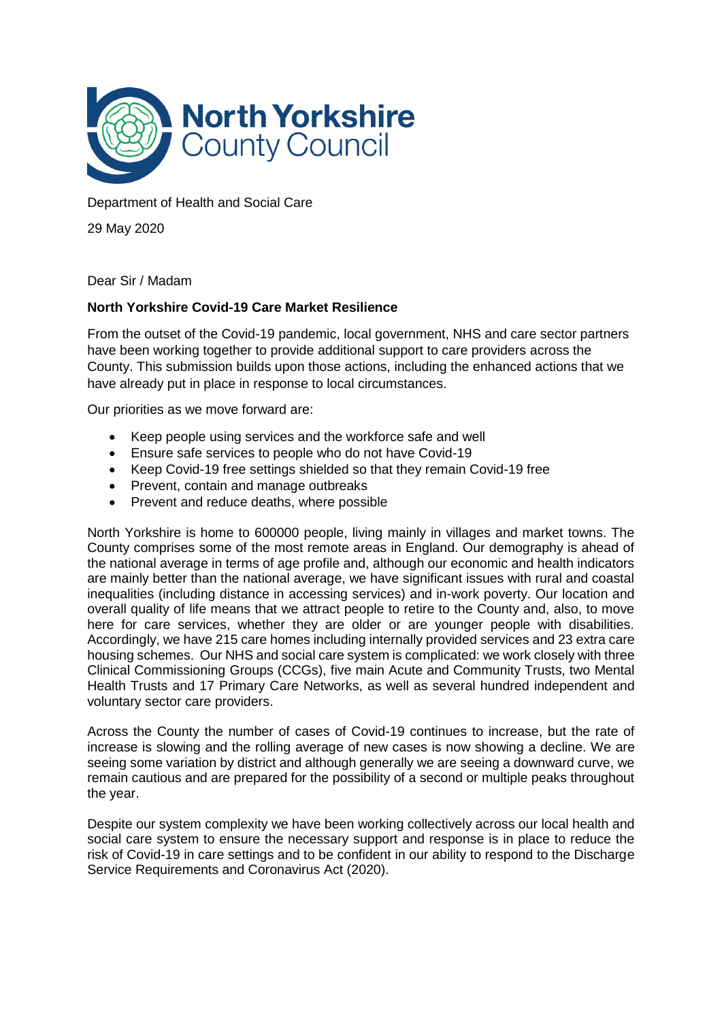

Department of Health and Social Care

29 May 2020

Dear Sir / Madam

# **North Yorkshire Covid-19 Care Market Resilience**

From the outset of the Covid-19 pandemic, local government, NHS and care sector partners have been working together to provide additional support to care providers across the County. This submission builds upon those actions, including the enhanced actions that we have already put in place in response to local circumstances.

Our priorities as we move forward are:

- Keep people using services and the workforce safe and well
- Ensure safe services to people who do not have Covid-19
- Keep Covid-19 free settings shielded so that they remain Covid-19 free
- Prevent, contain and manage outbreaks
- Prevent and reduce deaths, where possible

North Yorkshire is home to 600000 people, living mainly in villages and market towns. The County comprises some of the most remote areas in England. Our demography is ahead of the national average in terms of age profile and, although our economic and health indicators are mainly better than the national average, we have significant issues with rural and coastal inequalities (including distance in accessing services) and in-work poverty. Our location and overall quality of life means that we attract people to retire to the County and, also, to move here for care services, whether they are older or are younger people with disabilities. Accordingly, we have 215 care homes including internally provided services and 23 extra care housing schemes. Our NHS and social care system is complicated: we work closely with three Clinical Commissioning Groups (CCGs), five main Acute and Community Trusts, two Mental Health Trusts and 17 Primary Care Networks, as well as several hundred independent and voluntary sector care providers.

Across the County the number of cases of Covid-19 continues to increase, but the rate of increase is slowing and the rolling average of new cases is now showing a decline. We are seeing some variation by district and although generally we are seeing a downward curve, we remain cautious and are prepared for the possibility of a second or multiple peaks throughout the year.

Despite our system complexity we have been working collectively across our local health and social care system to ensure the necessary support and response is in place to reduce the risk of Covid-19 in care settings and to be confident in our ability to respond to the Discharge Service Requirements and Coronavirus Act (2020).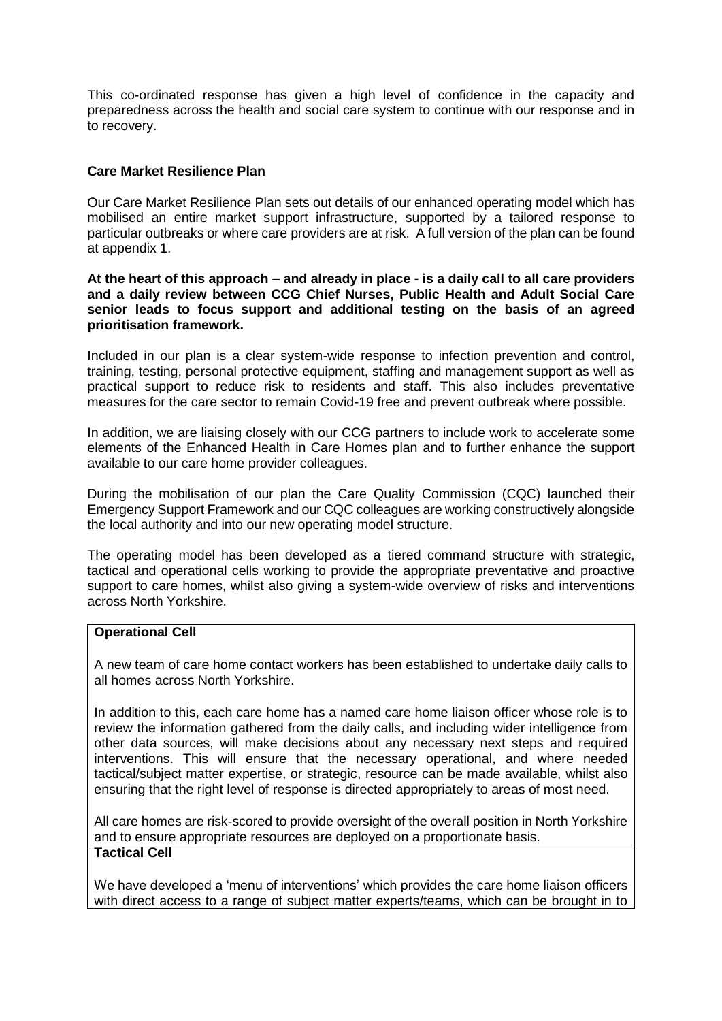This co-ordinated response has given a high level of confidence in the capacity and preparedness across the health and social care system to continue with our response and in to recovery.

#### **Care Market Resilience Plan**

Our Care Market Resilience Plan sets out details of our enhanced operating model which has mobilised an entire market support infrastructure, supported by a tailored response to particular outbreaks or where care providers are at risk. A full version of the plan can be found at appendix 1.

#### **At the heart of this approach – and already in place - is a daily call to all care providers and a daily review between CCG Chief Nurses, Public Health and Adult Social Care senior leads to focus support and additional testing on the basis of an agreed prioritisation framework.**

Included in our plan is a clear system-wide response to infection prevention and control, training, testing, personal protective equipment, staffing and management support as well as practical support to reduce risk to residents and staff. This also includes preventative measures for the care sector to remain Covid-19 free and prevent outbreak where possible.

In addition, we are liaising closely with our CCG partners to include work to accelerate some elements of the Enhanced Health in Care Homes plan and to further enhance the support available to our care home provider colleagues.

During the mobilisation of our plan the Care Quality Commission (CQC) launched their Emergency Support Framework and our CQC colleagues are working constructively alongside the local authority and into our new operating model structure.

The operating model has been developed as a tiered command structure with strategic, tactical and operational cells working to provide the appropriate preventative and proactive support to care homes, whilst also giving a system-wide overview of risks and interventions across North Yorkshire.

#### **Operational Cell**

A new team of care home contact workers has been established to undertake daily calls to all homes across North Yorkshire.

In addition to this, each care home has a named care home liaison officer whose role is to review the information gathered from the daily calls, and including wider intelligence from other data sources, will make decisions about any necessary next steps and required interventions. This will ensure that the necessary operational, and where needed tactical/subject matter expertise, or strategic, resource can be made available, whilst also ensuring that the right level of response is directed appropriately to areas of most need.

All care homes are risk-scored to provide oversight of the overall position in North Yorkshire and to ensure appropriate resources are deployed on a proportionate basis. **Tactical Cell**

We have developed a 'menu of interventions' which provides the care home liaison officers with direct access to a range of subject matter experts/teams, which can be brought in to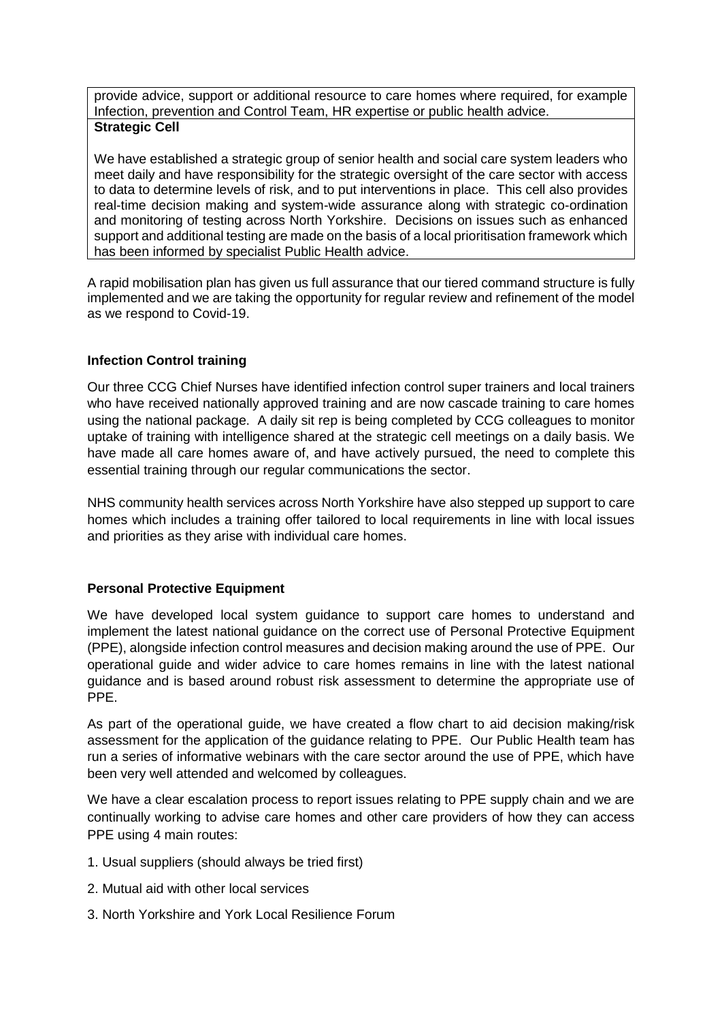provide advice, support or additional resource to care homes where required, for example Infection, prevention and Control Team, HR expertise or public health advice. **Strategic Cell**

We have established a strategic group of senior health and social care system leaders who meet daily and have responsibility for the strategic oversight of the care sector with access to data to determine levels of risk, and to put interventions in place. This cell also provides real-time decision making and system-wide assurance along with strategic co-ordination and monitoring of testing across North Yorkshire. Decisions on issues such as enhanced support and additional testing are made on the basis of a local prioritisation framework which has been informed by specialist Public Health advice.

A rapid mobilisation plan has given us full assurance that our tiered command structure is fully implemented and we are taking the opportunity for regular review and refinement of the model as we respond to Covid-19.

## **Infection Control training**

Our three CCG Chief Nurses have identified infection control super trainers and local trainers who have received nationally approved training and are now cascade training to care homes using the national package. A daily sit rep is being completed by CCG colleagues to monitor uptake of training with intelligence shared at the strategic cell meetings on a daily basis. We have made all care homes aware of, and have actively pursued, the need to complete this essential training through our regular communications the sector.

NHS community health services across North Yorkshire have also stepped up support to care homes which includes a training offer tailored to local requirements in line with local issues and priorities as they arise with individual care homes.

# **Personal Protective Equipment**

We have developed local system guidance to support care homes to understand and implement the latest national guidance on the correct use of Personal Protective Equipment (PPE), alongside infection control measures and decision making around the use of PPE. Our operational guide and wider advice to care homes remains in line with the latest national guidance and is based around robust risk assessment to determine the appropriate use of PPE.

As part of the operational guide, we have created a flow chart to aid decision making/risk assessment for the application of the guidance relating to PPE. Our Public Health team has run a series of informative webinars with the care sector around the use of PPE, which have been very well attended and welcomed by colleagues.

We have a clear escalation process to report issues relating to PPE supply chain and we are continually working to advise care homes and other care providers of how they can access PPE using 4 main routes:

- 1. Usual suppliers (should always be tried first)
- 2. Mutual aid with other local services
- 3. North Yorkshire and York Local Resilience Forum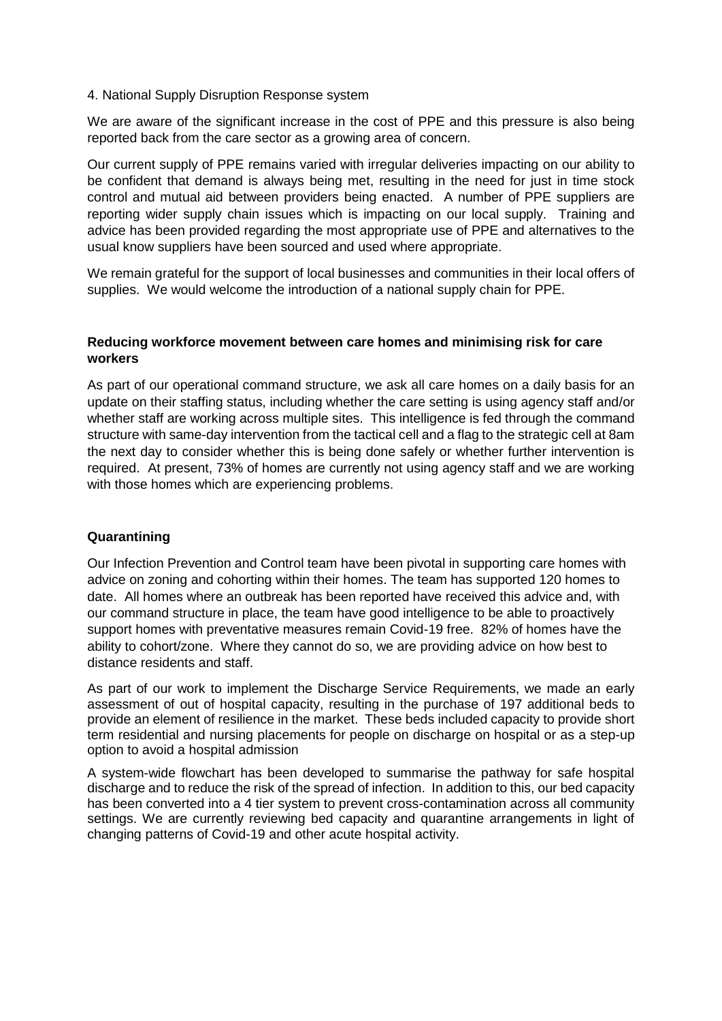#### 4. National Supply Disruption Response system

We are aware of the significant increase in the cost of PPE and this pressure is also being reported back from the care sector as a growing area of concern.

Our current supply of PPE remains varied with irregular deliveries impacting on our ability to be confident that demand is always being met, resulting in the need for just in time stock control and mutual aid between providers being enacted. A number of PPE suppliers are reporting wider supply chain issues which is impacting on our local supply. Training and advice has been provided regarding the most appropriate use of PPE and alternatives to the usual know suppliers have been sourced and used where appropriate.

We remain grateful for the support of local businesses and communities in their local offers of supplies. We would welcome the introduction of a national supply chain for PPE.

## **Reducing workforce movement between care homes and minimising risk for care workers**

As part of our operational command structure, we ask all care homes on a daily basis for an update on their staffing status, including whether the care setting is using agency staff and/or whether staff are working across multiple sites. This intelligence is fed through the command structure with same-day intervention from the tactical cell and a flag to the strategic cell at 8am the next day to consider whether this is being done safely or whether further intervention is required. At present, 73% of homes are currently not using agency staff and we are working with those homes which are experiencing problems.

## **Quarantining**

Our Infection Prevention and Control team have been pivotal in supporting care homes with advice on zoning and cohorting within their homes. The team has supported 120 homes to date. All homes where an outbreak has been reported have received this advice and, with our command structure in place, the team have good intelligence to be able to proactively support homes with preventative measures remain Covid-19 free. 82% of homes have the ability to cohort/zone. Where they cannot do so, we are providing advice on how best to distance residents and staff.

As part of our work to implement the Discharge Service Requirements, we made an early assessment of out of hospital capacity, resulting in the purchase of 197 additional beds to provide an element of resilience in the market. These beds included capacity to provide short term residential and nursing placements for people on discharge on hospital or as a step-up option to avoid a hospital admission

A system-wide flowchart has been developed to summarise the pathway for safe hospital discharge and to reduce the risk of the spread of infection. In addition to this, our bed capacity has been converted into a 4 tier system to prevent cross-contamination across all community settings. We are currently reviewing bed capacity and quarantine arrangements in light of changing patterns of Covid-19 and other acute hospital activity.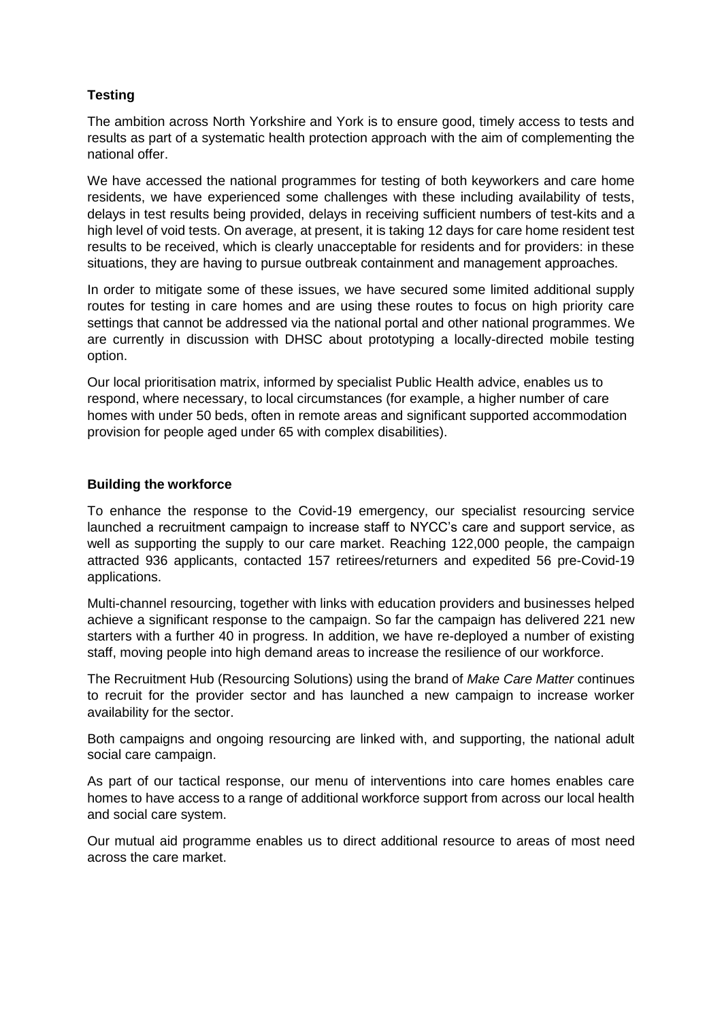# **Testing**

The ambition across North Yorkshire and York is to ensure good, timely access to tests and results as part of a systematic health protection approach with the aim of complementing the national offer.

We have accessed the national programmes for testing of both keyworkers and care home residents, we have experienced some challenges with these including availability of tests, delays in test results being provided, delays in receiving sufficient numbers of test-kits and a high level of void tests. On average, at present, it is taking 12 days for care home resident test results to be received, which is clearly unacceptable for residents and for providers: in these situations, they are having to pursue outbreak containment and management approaches.

In order to mitigate some of these issues, we have secured some limited additional supply routes for testing in care homes and are using these routes to focus on high priority care settings that cannot be addressed via the national portal and other national programmes. We are currently in discussion with DHSC about prototyping a locally-directed mobile testing option.

Our local prioritisation matrix, informed by specialist Public Health advice, enables us to respond, where necessary, to local circumstances (for example, a higher number of care homes with under 50 beds, often in remote areas and significant supported accommodation provision for people aged under 65 with complex disabilities).

#### **Building the workforce**

To enhance the response to the Covid-19 emergency, our specialist resourcing service launched a recruitment campaign to increase staff to NYCC's care and support service, as well as supporting the supply to our care market. Reaching 122,000 people, the campaign attracted 936 applicants, contacted 157 retirees/returners and expedited 56 pre-Covid-19 applications.

Multi-channel resourcing, together with links with education providers and businesses helped achieve a significant response to the campaign. So far the campaign has delivered 221 new starters with a further 40 in progress. In addition, we have re-deployed a number of existing staff, moving people into high demand areas to increase the resilience of our workforce.

The Recruitment Hub (Resourcing Solutions) using the brand of *Make Care Matter* continues to recruit for the provider sector and has launched a new campaign to increase worker availability for the sector.

Both campaigns and ongoing resourcing are linked with, and supporting, the national adult social care campaign.

As part of our tactical response, our menu of interventions into care homes enables care homes to have access to a range of additional workforce support from across our local health and social care system.

Our mutual aid programme enables us to direct additional resource to areas of most need across the care market.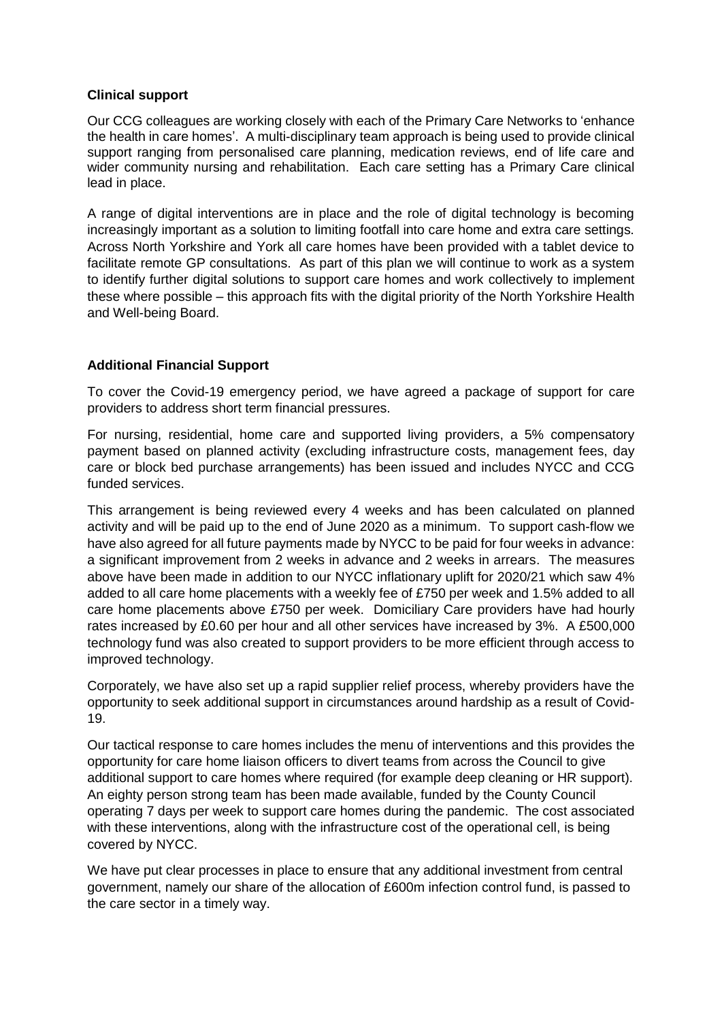#### **Clinical support**

Our CCG colleagues are working closely with each of the Primary Care Networks to 'enhance the health in care homes'. A multi-disciplinary team approach is being used to provide clinical support ranging from personalised care planning, medication reviews, end of life care and wider community nursing and rehabilitation. Each care setting has a Primary Care clinical lead in place.

A range of digital interventions are in place and the role of digital technology is becoming increasingly important as a solution to limiting footfall into care home and extra care settings. Across North Yorkshire and York all care homes have been provided with a tablet device to facilitate remote GP consultations. As part of this plan we will continue to work as a system to identify further digital solutions to support care homes and work collectively to implement these where possible – this approach fits with the digital priority of the North Yorkshire Health and Well-being Board.

## **Additional Financial Support**

To cover the Covid-19 emergency period, we have agreed a package of support for care providers to address short term financial pressures.

For nursing, residential, home care and supported living providers, a 5% compensatory payment based on planned activity (excluding infrastructure costs, management fees, day care or block bed purchase arrangements) has been issued and includes NYCC and CCG funded services.

This arrangement is being reviewed every 4 weeks and has been calculated on planned activity and will be paid up to the end of June 2020 as a minimum. To support cash-flow we have also agreed for all future payments made by NYCC to be paid for four weeks in advance: a significant improvement from 2 weeks in advance and 2 weeks in arrears. The measures above have been made in addition to our NYCC inflationary uplift for 2020/21 which saw 4% added to all care home placements with a weekly fee of £750 per week and 1.5% added to all care home placements above £750 per week. Domiciliary Care providers have had hourly rates increased by £0.60 per hour and all other services have increased by 3%. A £500,000 technology fund was also created to support providers to be more efficient through access to improved technology.

Corporately, we have also set up a rapid supplier relief process, whereby providers have the opportunity to seek additional support in circumstances around hardship as a result of Covid-19.

Our tactical response to care homes includes the menu of interventions and this provides the opportunity for care home liaison officers to divert teams from across the Council to give additional support to care homes where required (for example deep cleaning or HR support). An eighty person strong team has been made available, funded by the County Council operating 7 days per week to support care homes during the pandemic. The cost associated with these interventions, along with the infrastructure cost of the operational cell, is being covered by NYCC.

We have put clear processes in place to ensure that any additional investment from central government, namely our share of the allocation of £600m infection control fund, is passed to the care sector in a timely way.